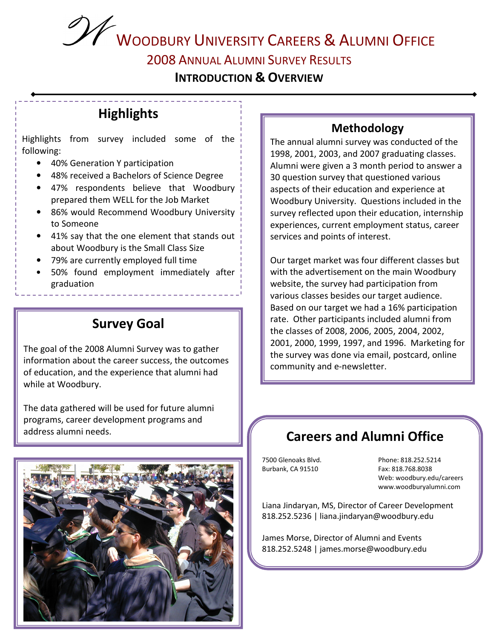**2008 ANNUAL ALUMNI SURVEY RESULTS** 

**INTRODUCTION & OVERVIEW** 

## **Highlights**

Highlights from survey included some of the following:

- 40% Generation Y participation
- 48% received a Bachelors of Science Degree
- 47% respondents believe that Woodbury prepared them WELL for the Job Market
- 86% would Recommend Woodbury University to Someone
- 41% say that the one element that stands out about Woodbury is the Small Class Size
- 79% are currently employed full time
- 50% found employment immediately after graduation

## **Survey Goal**

The goal of the 2008 Alumni Survey was to gather information about the career success, the outcomes of education, and the experience that alumni had while at Woodbury.

The data gathered will be used for future alumni programs, career development programs and address alumni needs.



#### **Methodology**

The annual alumni survey was conducted of the 1998, 2001, 2003, and 2007 graduating classes. Alumni were given a 3 month period to answer a 30 question survey that questioned various aspects of their education and experience at Woodbury University. Questions included in the survey reflected upon their education, internship experiences, current employment status, career services and points of interest.

Our target market was four different classes but with the advertisement on the main Woodbury website, the survey had participation from various classes besides our target audience. Based on our target we had a 16% participation rate. Other participants included alumni from the classes of 2008, 2006, 2005, 2004, 2002, 2001, 2000, 1999, 1997, and 1996. Marketing for the survey was done via email, postcard, online community and e-newsletter.

## **Careers and Alumni Office**

7500 Glenoaks Blvd. Burbank, CA 91510

Phone: 818.252.5214 Fax: 818.768.8038 Web: woodbury.edu/careers www.woodburyalumni.com

Liana Jindaryan, MS, Director of Career Development 818.252.5236 | liana.jindaryan@woodbury.edu

James Morse, Director of Alumni and Events 818.252.5248 | james.morse@woodbury.edu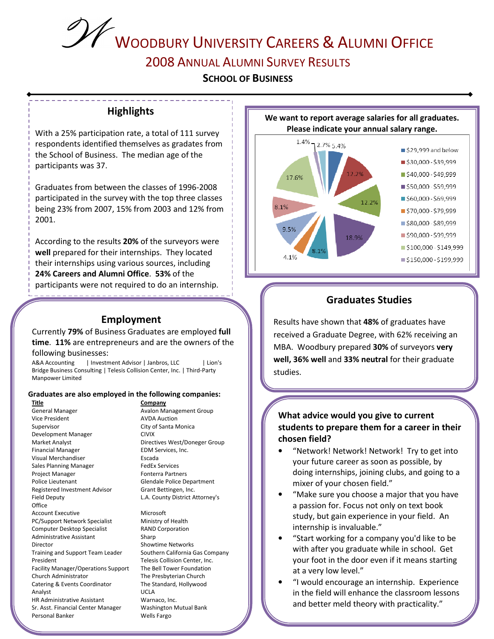# WOODBURY UNIVERSITY CAREERS & ALUMNI OFFICE 2008 ANNUAL ALUMNI SURVEY RESULTS

**SCHOOL OF BUSINESS** 

#### **Highlights**

------------

With a 25% participation rate, a total of 111 survey respondents identified themselves as gradates from the School of Business. The median age of the participants was 37.

Graduates from between the classes of 1996-2008 participated in the survey with the top three classes being 23% from 2007, 15% from 2003 and 12% from  $2001.$ 

According to the results 20% of the surveyors were well prepared for their internships. They located their internships using various sources, including 24% Careers and Alumni Office. 53% of the participants were not required to do an internship.

#### **Employment**

<u> de la característica de la característica de la c</u>

Currently 79% of Business Graduates are employed full time. 11% are entrepreneurs and are the owners of the following businesses:

**A&A Accounting** | Investment Advisor | Janbros, LLC Lion's Bridge Business Consulting | Telesis Collision Center, Inc. | Third-Party Manpower Limited

#### Graduates are also employed in the following companies:

**Title General Manager** Vice President Supervisor Development Manager Market Analyst **Financial Manager** Visual Merchandiser Sales Planning Manager Project Manager Police Lieutenant Registered Investment Advisor Field Deputy Office **Account Executive** PC/Support Network Specialist Computer Desktop Specialist Administrative Assistant Director Training and Support Team Leader President Facility Manager/Operations Support Church Administrator Catering & Events Coordinator Analyst HR Administrative Assistant Sr. Asst. Financial Center Manager Personal Banker

Company **Avalon Management Group AVDA Auction** City of Santa Monica **CIVIX** Directives West/Doneger Group EDM Services, Inc. Escada **FedEx Services Fonterra Partners** Glendale Police Department Grant Bettingen, Inc. L.A. County District Attorney's

Microsoft Ministry of Health **RAND Corporation** Sharp **Showtime Networks** Southern California Gas Company Telesis Collision Center, Inc. The Bell Tower Foundation The Presbyterian Church The Standard, Hollywood **UCLA** Warnaco, Inc. **Washington Mutual Bank** Wells Fargo





#### **Graduates Studies**

Results have shown that 48% of graduates have received a Graduate Degree, with 62% receiving an MBA. Woodbury prepared 30% of surveyors very well, 36% well and 33% neutral for their graduate studies.

#### What advice would you give to current students to prepare them for a career in their chosen field?

- "Network! Network! Network! Try to get into your future career as soon as possible, by doing internships, joining clubs, and going to a mixer of your chosen field."
- "Make sure you choose a major that you have a passion for. Focus not only on text book study, but gain experience in your field. An internship is invaluable."
- "Start working for a company you'd like to be with after you graduate while in school. Get your foot in the door even if it means starting at a very low level."
- "I would encourage an internship. Experience in the field will enhance the classroom lessons and better meld theory with practicality."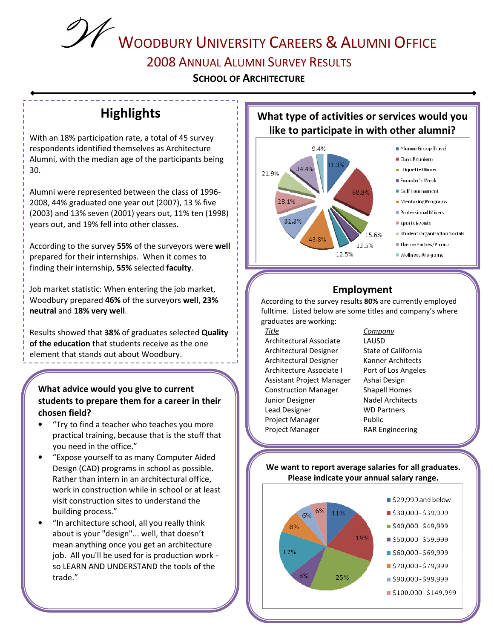# WOODBURY UNIVERSITY CAREERS & ALUMNI OFFICE **2008 ANNUAL ALUMNI SURVEY RESULTS**

**SCHOOL OF ARCHITECTURE** 

## **Highlights**

With an 18% participation rate, a total of 45 survey respondents identified themselves as Architecture Alumni, with the median age of the participants being 30.

Alumni were represented between the class of 1996-2008, 44% graduated one year out (2007), 13 % five (2003) and 13% seven (2001) years out, 11% ten (1998) years out, and 19% fell into other classes.

According to the survey 55% of the surveyors were well prepared for their internships. When it comes to finding their internship, 55% selected faculty.

Job market statistic: When entering the job market, Woodbury prepared 46% of the surveyors well, 23% neutral and 18% very well.

Results showed that 38% of graduates selected Quality of the education that students receive as the one element that stands out about Woodbury.

#### What advice would you give to current students to prepare them for a career in their chosen field?

- "Try to find a teacher who teaches you more practical training, because that is the stuff that you need in the office."
- "Expose yourself to as many Computer Aided Design (CAD) programs in school as possible. Rather than intern in an architectural office, work in construction while in school or at least visit construction sites to understand the building process."
- "In architecture school, all you really think about is your "design"... well, that doesn't mean anything once you get an architecture job. All you'll be used for is production work so LEARN AND UNDERSTAND the tools of the trade."

#### What type of activities or services would you like to participate in with other alumni?



## **Employment**

According to the survey results 80% are currently employed fulltime. Listed below are some titles and company's where graduates are working:

#### **Title**

Architectural Associate Architectural Designer Architectural Designer Architecture Associate I Assistant Project Manager **Construction Manager** Junior Designer Lead Designer Project Manager Project Manager

#### LAUSD State of California Kanner Architects Port of Los Angeles Ashai Design

Company

**Shapell Homes Nadel Architects WD Partners** Public **RAR Engineering** 

#### We want to report average salaries for all graduates. Please indicate your annual salary range.

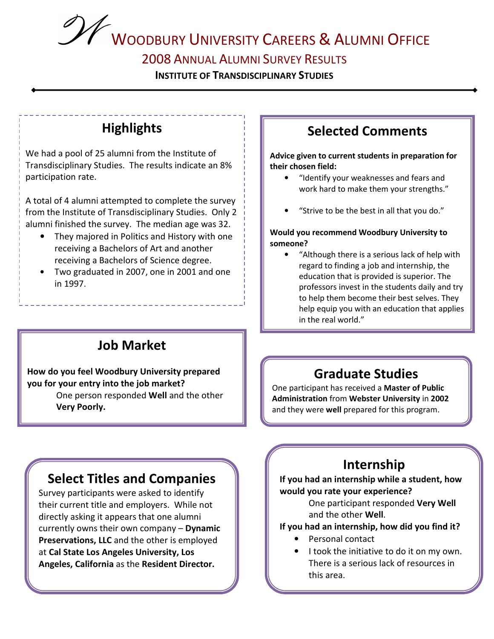#### 2008 ANNUAL ALUMNI SURVEY RESULTS

**INSTITUTE OF TRANSDISCIPLINARY STUDIES** 

## **Highlights**

We had a pool of 25 alumni from the Institute of Transdisciplinary Studies. The results indicate an 8% participation rate.

A total of 4 alumni attempted to complete the survey from the Institute of Transdisciplinary Studies. Only 2 alumni finished the survey. The median age was 32.

- They majored in Politics and History with one  $\bullet$ receiving a Bachelors of Art and another receiving a Bachelors of Science degree.
- Two graduated in 2007, one in 2001 and one in 1997.

## **Job Market**

#### How do you feel Woodbury University prepared you for your entry into the job market?

One person responded Well and the other Very Poorly.

## **Select Titles and Companies**

Survey participants were asked to identify their current title and employers. While not directly asking it appears that one alumni currently owns their own company - Dynamic Preservations, LLC and the other is employed at Cal State Los Angeles University, Los Angeles, California as the Resident Director.

## **Selected Comments**

Advice given to current students in preparation for their chosen field:

- "Identify your weaknesses and fears and work hard to make them your strengths."
- "Strive to be the best in all that you do."

#### Would you recommend Woodbury University to someone?

"Although there is a serious lack of help with regard to finding a job and internship, the education that is provided is superior. The professors invest in the students daily and try to help them become their best selves. They help equip you with an education that applies in the real world."

## **Graduate Studies**

One participant has received a Master of Public Administration from Webster University in 2002 and they were well prepared for this program.

## Internship

If you had an internship while a student, how would you rate your experience?

> One participant responded Very Well and the other Well.

#### If you had an internship, how did you find it?

- Personal contact
- I took the initiative to do it on my own. There is a serious lack of resources in this area.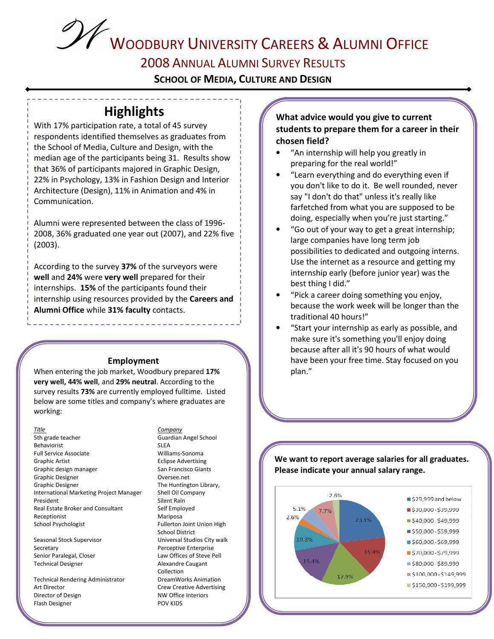## **2008 ANNUAL ALUMNI SURVEY RESULTS**

**SCHOOL OF MEDIA, CULTURE AND DESIGN** 

## **Highlights**

With 17% participation rate, a total of 45 survey respondents identified themselves as graduates from the School of Media, Culture and Design, with the median age of the participants being 31. Results show that 36% of participants majored in Graphic Design, 22% in Psychology, 13% in Fashion Design and Interior Architecture (Design), 11% in Animation and 4% in Communication.

Alumni were represented between the class of 1996-2008, 36% graduated one year out (2007), and 22% five  $(2003).$ 

According to the survey 37% of the surveyors were well and 24% were very well prepared for their internships. 15% of the participants found their internship using resources provided by the Careers and Alumni Office while 31% faculty contacts.

#### Employment

When entering the job market, Woodbury prepared 17% very well, 44% well, and 29% neutral. According to the survey results 73% are currently employed fulltime. Listed below are some titles and company's where graduates are working:

#### Title

5th grade teacher Behaviorist Full Service Associate **Graphic Artist** Graphic design manager **Graphic Designer Graphic Designer** International Marketing Project Manager President Real Estate Broker and Consultant Receptionist School Psychologist

Seasonal Stock Supervisor Secretary Senior Paralegal, Closer **Technical Designer** 

**Technical Rendering Administrator** Art Director Director of Design Flash Designer

#### Company

Guardian Angel School **SLEA** Williams-Sonoma **Eclipse Advertising** San Francisco Giants Oversee.net The Huntington Library, Shell Oil Company Silent Rain Self Employed Mariposa Fullerton Joint Union High **School District** Universal Studios City walk **Perceptive Enterprise** Law Offices of Steve Pell Alexandre Caugant Collection DreamWorks Animation **Crew Creative Advertising** NW Office Interiors **POV KIDS** 

#### What advice would you give to current students to prepare them for a career in their chosen field?

- "An internship will help you greatly in preparing for the real world!"
- "Learn everything and do everything even if you don't like to do it. Be well rounded, never say "I don't do that" unless it's really like farfetched from what you are supposed to be doing, especially when you're just starting."
- "Go out of your way to get a great internship; large companies have long term job possibilities to dedicated and outgoing interns. Use the internet as a resource and getting my internship early (before junior year) was the best thing I did."
- "Pick a career doing something you enjoy, because the work week will be longer than the traditional 40 hours!"
- "Start your internship as early as possible, and make sure it's something you'll enjoy doing because after all it's 90 hours of what would have been your free time. Stay focused on you plan."

#### We want to report average salaries for all graduates. Please indicate your annual salary range.